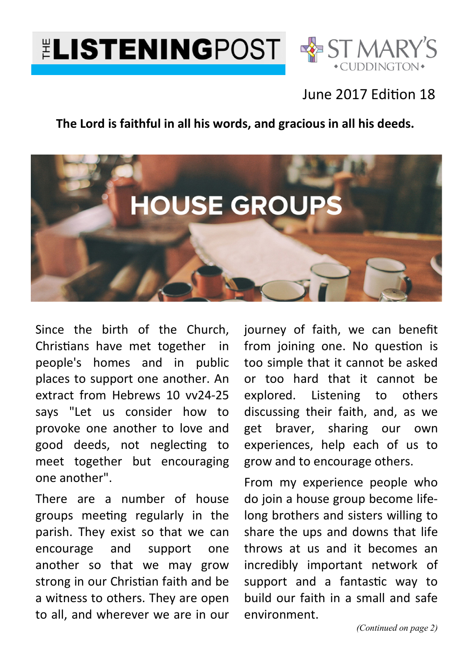



## June 2017 Edition 18

#### **The Lord is faithful in all his words, and gracious in all his deeds.**



Since the birth of the Church, Christians have met together in people's homes and in public places to support one another. An extract from Hebrews 10 vv24-25 says "Let us consider how to provoke one another to love and good deeds, not neglecting to meet together but encouraging one another".

There are a number of house groups meeting regularly in the parish. They exist so that we can encourage and support one another so that we may grow strong in our Christian faith and be a witness to others. They are open to all, and wherever we are in our journey of faith, we can benefit from joining one. No question is too simple that it cannot be asked or too hard that it cannot be explored. Listening to others discussing their faith, and, as we get braver, sharing our own experiences, help each of us to grow and to encourage others.

From my experience people who do join a house group become lifelong brothers and sisters willing to share the ups and downs that life throws at us and it becomes an incredibly important network of support and a fantastic way to build our faith in a small and safe environment.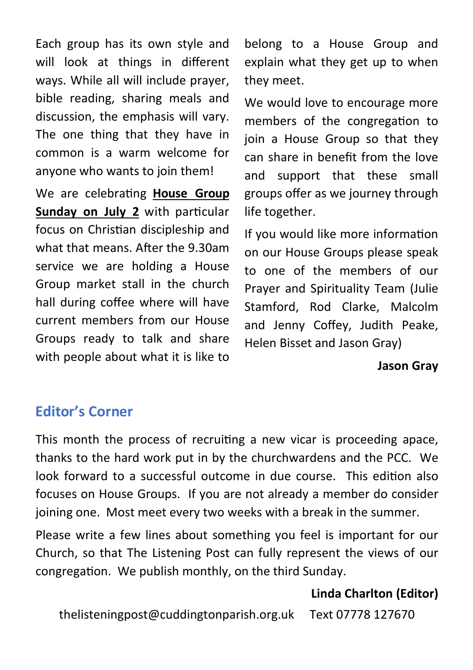Each group has its own style and will look at things in different ways. While all will include prayer, bible reading, sharing meals and discussion, the emphasis will vary. The one thing that they have in common is a warm welcome for anyone who wants to join them!

We are celebrating **House Group Sunday on July 2** with particular focus on Christian discipleship and what that means. After the 9.30am service we are holding a House Group market stall in the church hall during coffee where will have current members from our House Groups ready to talk and share with people about what it is like to

belong to a House Group and explain what they get up to when they meet.

We would love to encourage more members of the congregation to join a House Group so that they can share in benefit from the love and support that these small groups offer as we journey through life together.

If you would like more information on our House Groups please speak to one of the members of our Prayer and Spirituality Team (Julie Stamford, Rod Clarke, Malcolm and Jenny Coffey, Judith Peake, Helen Bisset and Jason Gray)

**Jason Gray** 

### **Editor's Corner**

This month the process of recruiting a new vicar is proceeding apace, thanks to the hard work put in by the churchwardens and the PCC. We look forward to a successful outcome in due course. This edition also focuses on House Groups. If you are not already a member do consider joining one. Most meet every two weeks with a break in the summer.

Please write a few lines about something you feel is important for our Church, so that The Listening Post can fully represent the views of our congregation. We publish monthly, on the third Sunday.

#### **Linda Charlton (Editor)**

thelisteningpost@cuddingtonparish.org.uk Text 07778 127670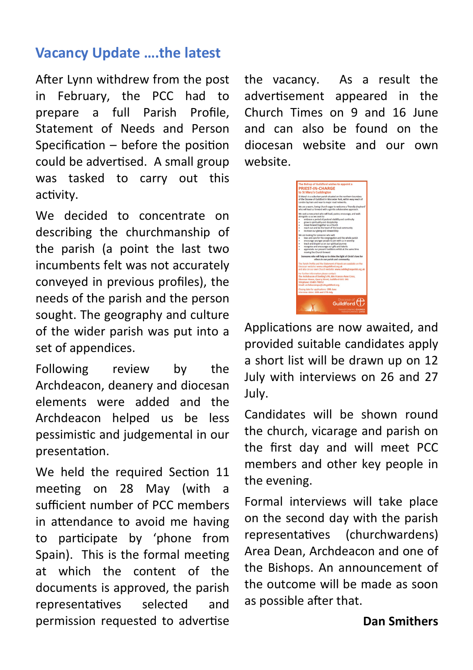## **Vacancy Update ….the latest**

After Lynn withdrew from the post in February, the PCC had to prepare a full Parish Profile, Statement of Needs and Person Specification  $-$  before the position could be advertised. A small group was tasked to carry out this activity.

We decided to concentrate on describing the churchmanship of the parish (a point the last two incumbents felt was not accurately conveyed in previous profiles), the needs of the parish and the person sought. The geography and culture of the wider parish was put into a set of appendices.

Following review by the Archdeacon, deanery and diocesan elements were added and the Archdeacon helped us be less pessimistic and judgemental in our presentation.

We held the required Section 11 meeting on 28 May (with a sufficient number of PCC members in attendance to avoid me having to participate by 'phone from Spain). This is the formal meeting at which the content of the documents is approved, the parish representatives selected and permission requested to advertise

the vacancy. As a result the advertisement appeared in the Church Times on 9 and 16 June and can also be found on the diocesan website and our own website.

e Bishop of Guildford wish<br>RIEST-IN-CHARGE Guildford  $\P$ 

Applications are now awaited, and provided suitable candidates apply a short list will be drawn up on 12 July with interviews on 26 and 27 July.

Candidates will be shown round the church, vicarage and parish on the first day and will meet PCC members and other key people in the evening.

Formal interviews will take place on the second day with the parish representatives (churchwardens) Area Dean, Archdeacon and one of the Bishops. An announcement of the outcome will be made as soon as possible after that.

**Dan Smithers**